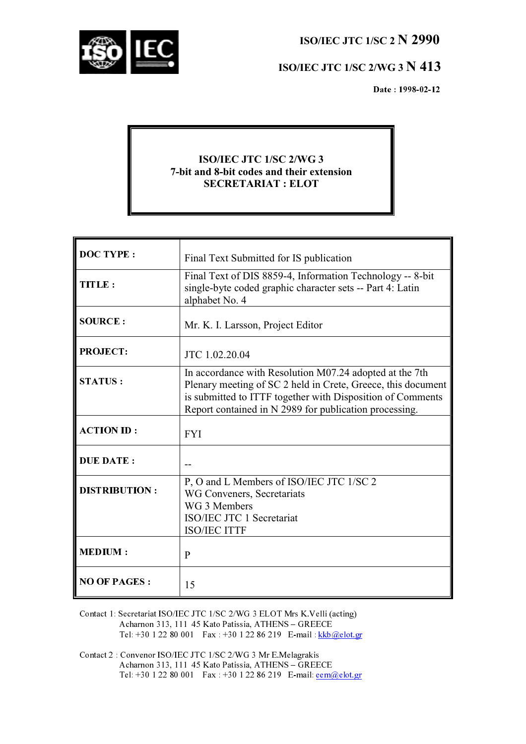ISO/IEC JTC 1/SC 2 N 2990



# ISO/IEC JTC 1/SC 2/WG 3 N 413

Date: 1998-02-12

## **ISO/IEC JTC 1/SC 2/WG 3** 7-bit and 8-bit codes and their extension **SECRETARIAT: ELOT**

| <b>DOC TYPE:</b>     | Final Text Submitted for IS publication                                                                                                                                                                                                         |
|----------------------|-------------------------------------------------------------------------------------------------------------------------------------------------------------------------------------------------------------------------------------------------|
| TITLE:               | Final Text of DIS 8859-4, Information Technology -- 8-bit<br>single-byte coded graphic character sets -- Part 4: Latin<br>alphabet No. 4                                                                                                        |
| <b>SOURCE:</b>       | Mr. K. I. Larsson, Project Editor                                                                                                                                                                                                               |
| <b>PROJECT:</b>      | JTC 1.02.20.04                                                                                                                                                                                                                                  |
| <b>STATUS:</b>       | In accordance with Resolution M07.24 adopted at the 7th<br>Plenary meeting of SC 2 held in Crete, Greece, this document<br>is submitted to ITTF together with Disposition of Comments<br>Report contained in N 2989 for publication processing. |
| <b>ACTION ID:</b>    | <b>FYI</b>                                                                                                                                                                                                                                      |
| <b>DUE DATE:</b>     |                                                                                                                                                                                                                                                 |
| <b>DISTRIBUTION:</b> | P, O and L Members of ISO/IEC JTC 1/SC 2<br>WG Conveners, Secretariats<br>WG 3 Members<br>ISO/IEC JTC 1 Secretariat<br><b>ISO/IEC ITTF</b>                                                                                                      |
| <b>MEDIUM:</b>       | $\mathbf{P}$                                                                                                                                                                                                                                    |
| <b>NO OF PAGES:</b>  | 15                                                                                                                                                                                                                                              |

Contact 1: Secretariat ISO/IEC JTC 1/SC 2/WG 3 ELOT Mrs K.Velli (acting) Acharnon 313, 111 45 Kato Patissia, ATHENS - GREECE Tel: +30 1 22 80 001 Fax: +30 1 22 86 219 E-mail:  $\frac{kkb@elot.gr}{kbb@elot.gr}$ 

Contact 2 : Convenor ISO/IEC JTC 1/SC 2/WG 3 Mr E.Melagrakis Acharnon 313, 111–45 Kato Patissia, ATHENS – GREECE Tel: +30 1 22 80 001 Fax : +30 1 22 86 219 E-mail: <u>eem@elot.gr</u>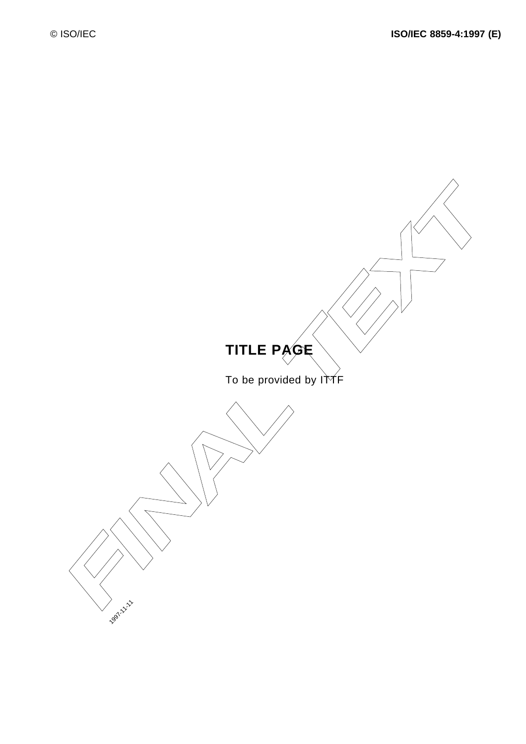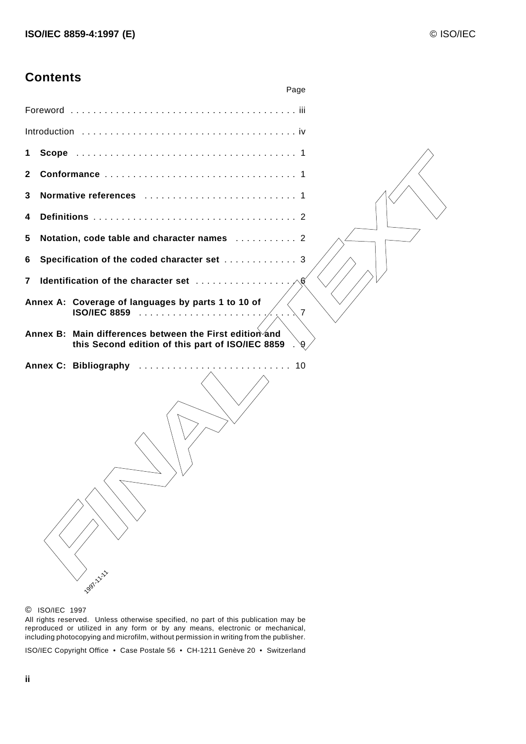# **Contents**

|              | Page                                                                                                                        |
|--------------|-----------------------------------------------------------------------------------------------------------------------------|
|              |                                                                                                                             |
|              | Introduction $\ldots \ldots \ldots \ldots \ldots \ldots \ldots \ldots \ldots \ldots \ldots \ldots$                          |
| 1.           |                                                                                                                             |
| $\mathbf{2}$ |                                                                                                                             |
| 3            |                                                                                                                             |
| 4            |                                                                                                                             |
| 5            | Notation, code table and character names  2                                                                                 |
| 6            | Specification of the coded character set  3                                                                                 |
| 7            | Identification of the character set<br>6 <sub>6</sub>                                                                       |
|              | Annex A: Coverage of languages by parts 1 to 10 of<br>ISO/IEC 8859<br>$\overline{7}$                                        |
|              | Annex B: Main differences between the First edition and<br>this Second edition of this part of ISO/IEC 8859<br>$\mathbf{9}$ |
|              | Annex C: Bibliography<br>10<br><b>1997 1 1 1 1 1</b>                                                                        |

#### © ISO/IEC 1997

All rights reserved. Unless otherwise specified, no part of this publication may be reproduced or utilized in any form or by any means, electronic or mechanical, including photocopying and microfilm, without permission in writing from the publisher.

ISO/IEC Copyright Office • Case Postale 56 • CH-1211 Genève 20 • Switzerland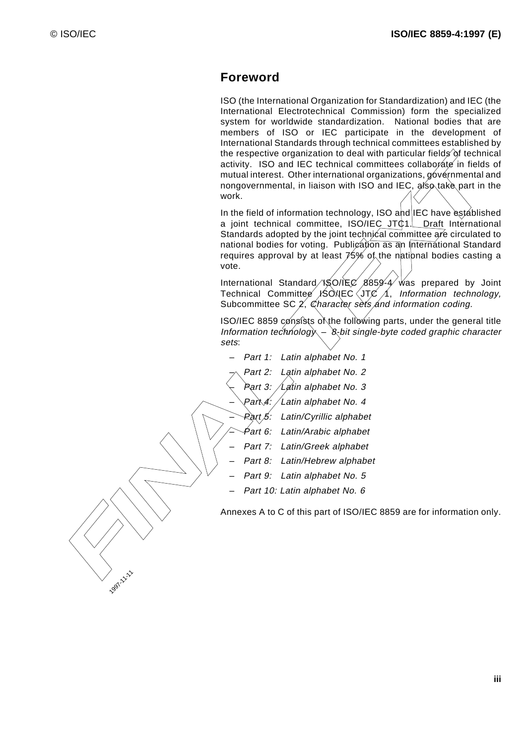1997-11-11

# **Foreword**

ISO (the International Organization for Standardization) and IEC (the International Electrotechnical Commission) form the specialized system for worldwide standardization. National bodies that are members of ISO or IEC participate in the development of International Standards through technical committees established by the respective organization to deal with particular fields of technical activity. ISO and IEC technical committees collaborate in fields of mutual interest. Other international organizations  $q\alpha$  ernmental and nongovernmental, in liaison with ISO and IEC, also take part in the work.

activity. ISO ond IEC technical committees contain-orientation and the matter of the matter of the international organizations of point neutral international organizations of point neutral internation of the internationa In the field of information technology, ISO and IEC have established a joint technical committee, ISO/IEC J $\uparrow$ C $\uparrow$ . Draft International Standards adopted by the joint technical committee are circulated to national bodies for voting. Publication as an International Standard requires approval by at least  $\cancel{75}$ % of the national bodies casting a vote.

International Standard  $\sqrt{SO/IEC}$  8859-4 was prepared by Joint Technical Committee  $\geq$  ISQ/IEC JTC  $\neq$  Information technology, Subcommittee SC $\sqrt{2}$  Character sets and information coding.

ISO/IEC 8859 consists of the following parts, under the general title Information technology  $-\$ 8-bit single-byte coded graphic character sets:

- Part 1: Latin alphabet No. 1
	- Part 2: Latin alphabet No. 2
		- Part 3: Latin alphabet No. 3
			- $\mathcal L$ atin alphabet No. 4
		- Part 5: Latin/Cyrillic alphabet
		- Part 6: Latin/Arabic alphabet
		- Part 7: Latin/Greek alphabet
	- Part 8: Latin/Hebrew alphabet
- Part 9: Latin alphabet No. 5
- Part 10: Latin alphabet No. 6

Annexes A to C of this part of ISO/IEC 8859 are for information only.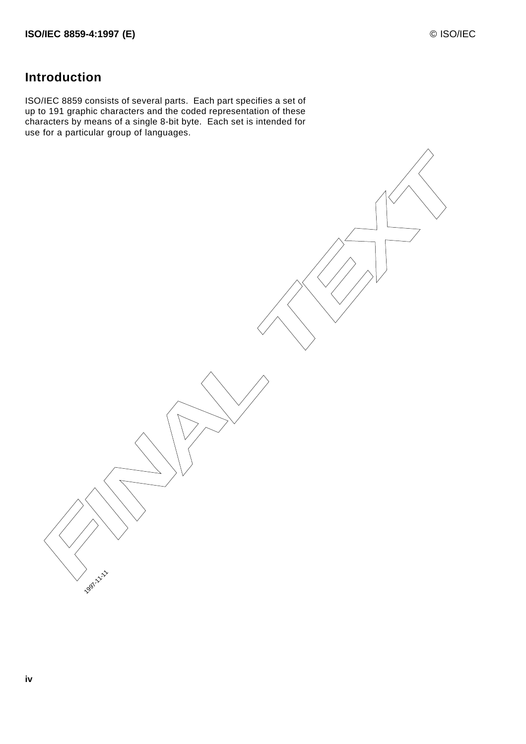# **Introduction**

ISO/IEC 8859 consists of several parts. Each part specifies a set of up to 191 graphic characters and the coded representation of these characters by means of a single 8-bit byte. Each set is intended for use for a particular group of languages.

**FINAL TEXT** 

1997-11-11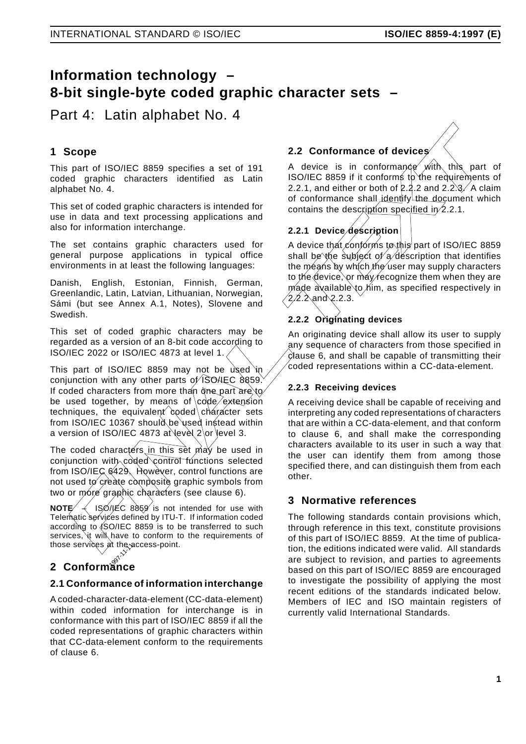# **Information technology – 8-bit single-byte coded graphic character sets –**

Part 4: Latin alphabet No. 4

## **1 Scope**

This part of ISO/IEC 8859 specifies a set of 191 coded graphic characters identified as Latin alphabet No. 4.

This set of coded graphic characters is intended for use in data and text processing applications and also for information interchange.

The set contains graphic characters used for general purpose applications in typical office environments in at least the following languages:

Danish, English, Estonian, Finnish, German, Greenlandic, Latin, Latvian, Lithuanian, Norwegian, Sámi (but see Annex A.1, Notes), Slovene and Swedish.

This set of coded graphic characters may be regarded as a version of an 8-bit code according to ISO/IEC 2022 or ISO/IEC 4873 at level 1/

This part of ISO/IEC 8859 may not be used in conjunction with any other parts of ISO/IEC 8859. If coded characters from more than one part are to be used together, by means of code extension techniques, the equivalent coded character sets from ISO/IEC 10367 should be used instead within a version of ISO/IEC 4873 at level 2 or level 3.

The coded characters in this set may be used in conjunction with coded control functions selected from ISO/IEC 6429. However, control functions are not used to create composite graphic symbols from two or more graphic characters (see clause 6).

**NOTE**  $\left\langle -\right\rangle$  ISONEC 8859 is not intended for use with Telematic services defined by ITU-T. If information coded according to ISO/IEC 8859 is to be transferred to such services, it will have to conform to the requirements of those services at the access-point.

# mose services at the<sub>rem</sub><br>2 Conformance

## **2.1 Conformance of information interchange**

A coded-character-data-element (CC-data-element) within coded information for interchange is in conformance with this part of ISO/IEC 8859 if all the coded representations of graphic characters within that CC-data-element conform to the requirements of clause 6.

# **2.2 Conformance of devices**

A device is in conformance with this part of ISO/IEC 8859 if it conforms to the requirements of 2.2.1, and either or both of  $2,2.2$  and  $2.2,3.$  A claim of conformance shall identify the document which contains the description specified in 2.2.1.

# **2.2.1 Device description**

A device that conforms to this part of ISO/IEC 8859 shall be the subject of a description that identifies the means by which the user may supply characters to the device, or may recognize them when they are made available to him, as specified respectively in  $(2.2.2 \text{ and } 2.2.3)$ 

## **2.2.2 Originating devices**

An originating device shall allow its user to supply any sequence of characters from those specified in clause 6, and shall be capable of transmitting their  $\mathcal E$  ded representations within a CC-data-element.

## **2.2.3 Receiving devices**

**Scope**<br> **Example 12.2 Conformance of devices**<br>
is part of ISO/IEC 8859 specifies a set of 191<br>
A device is in conformance of devices<br>
is part of ISO/IEC 8859 specifies as Latin 2.2.1, and either or both dr2,2.2 and 2.2,3, A receiving device shall be capable of receiving and interpreting any coded representations of characters that are within a CC-data-element, and that conform to clause 6, and shall make the corresponding characters available to its user in such a way that the user can identify them from among those specified there, and can distinguish them from each other.

## **3 Normative references**

The following standards contain provisions which, through reference in this text, constitute provisions of this part of ISO/IEC 8859. At the time of publication, the editions indicated were valid. All standards are subject to revision, and parties to agreements based on this part of ISO/IEC 8859 are encouraged to investigate the possibility of applying the most recent editions of the standards indicated below. Members of IEC and ISO maintain registers of currently valid International Standards.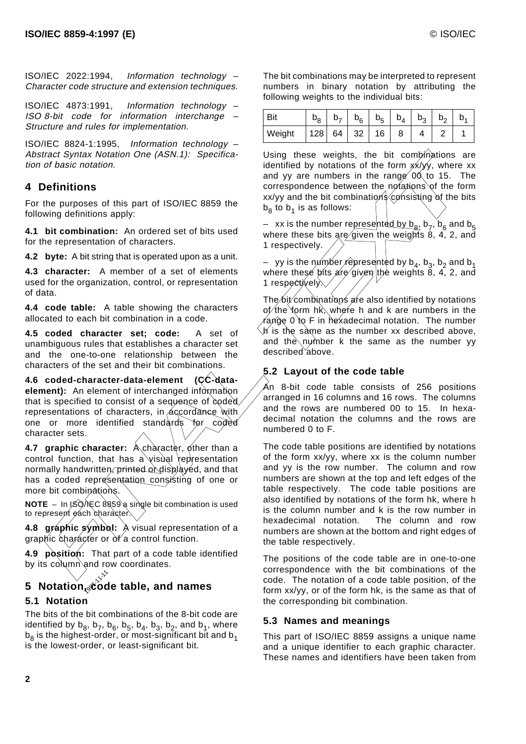ISO/IEC 2022:1994, Information technology – Character code structure and extension techniques.

ISO/IEC 4873:1991, Information technology – ISO 8-bit code for information interchange – Structure and rules for implementation.

ISO/IEC 8824-1:1995, Information technology – Abstract Syntax Notation One (ASN.1): Specification of basic notation.

#### **4 Definitions**

For the purposes of this part of ISO/IEC 8859 the following definitions apply:

**4.1 bit combination:** An ordered set of bits used for the representation of characters.

**4.2 byte:** A bit string that is operated upon as a unit.

**4.3 character:** A member of a set of elements used for the organization, control, or representation of data.

**4.4 code table:** A table showing the characters allocated to each bit combination in a code.

**4.5 coded character set; code:** A set of unambiguous rules that establishes a character set and the one-to-one relationship between the characters of the set and their bit combinations.

**4.6 coded-character-data-element (CC-dataelement):** An element of interchanged information that is specified to consist of a sequence of coded representations of characters,  $\frac{1}{x}$  accordance with one or more identified standards for coded character sets.

**4.7 graphic character:** A character, other than a control function, that has a visual representation normally handwritten, printed or displayed, and that has a coded representation consisting of one or more bit combinations.

**NOTE** – In ISQ/IEC 8859 a single bit combination is used to represent each character

**4.8 graphic symbol:** A visual representation of a graphic character or of a control function.

**4.9 position:** That part of a code table identified by its column and row coordinates.

# 1997-11-11 **5 Notation, code table, and names 5.1 Notation**

The bits of the bit combinations of the 8-bit code are identified by  $b_8$ ,  $b_7$ ,  $b_6$ ,  $b_5$ ,  $b_4$ ,  $b_3$ ,  $b_2$ , and  $b_1$ , where  $b_8$  is the highest-order, or most-significant bit and  $b_1$ is the lowest-order, or least-significant bit.

The bit combinations may be interpreted to represent numbers in binary notation by attributing the following weights to the individual bits:

| Bit    |     |    | $b_6$ | b <sub>5</sub> | $b_4$ | $b_{2}$ | $b_{\alpha}$ |  |
|--------|-----|----|-------|----------------|-------|---------|--------------|--|
| Weight | 128 | 64 | 32    | 16             |       |         |              |  |

Using these weights, the bit combinations are identified by notations of the form  $\overrightarrow{xx}$  yy, where xx and yy are numbers in the range  $\ddot{\text{0}}$  to 15. The correspondence between the notations of the form  $xx/yy$  and the bit combinations consisting of the bits  $b_8$  to  $b_1$  is as follows:

– xx is the number represented by  $b_8$ ,  $b_7$ ,  $b_6$  and  $b_5$ where these bits are given the weights 8, 4, 2, and 1 respectively.

vy is the number represented by  $b_4$ ,  $b_3$ ,  $b_2$  and  $b_1$ where the se bits are given the weights 8, 4, 2, and 1 respectively.

The bit combinations are also identified by notations  $\varrho$ f the form h $k$ , where h and k are numbers in the  $r$ ange  $\&$  to F in hexadecimal notation. The number h is the same as the number xx described above, and the number k the same as the number yy described *above*.

#### **5.2 Layout of the code table**

An 8-bit code table consists of 256 positions arranged in 16 columns and 16 rows. The columns and the rows are numbered 00 to 15. In hexadecimal notation the columns and the rows are numbered 0 to F.

and *Dinastic meansion of Houri*.). Specimes the this control of the form whose section is control of the control of the control of the control of the purposes of his part of ISO/IEC 8859 the control of the control of the The code table positions are identified by notations of the form xx/yy, where xx is the column number and yy is the row number. The column and row numbers are shown at the top and left edges of the table respectively. The code table positions are also identified by notations of the form hk, where h is the column number and k is the row number in hexadecimal notation. The column and row numbers are shown at the bottom and right edges of the table respectively.

The positions of the code table are in one-to-one correspondence with the bit combinations of the code. The notation of a code table position, of the form xx/yy, or of the form hk, is the same as that of the corresponding bit combination.

#### **5.3 Names and meanings**

This part of ISO/IEC 8859 assigns a unique name and a unique identifier to each graphic character. These names and identifiers have been taken from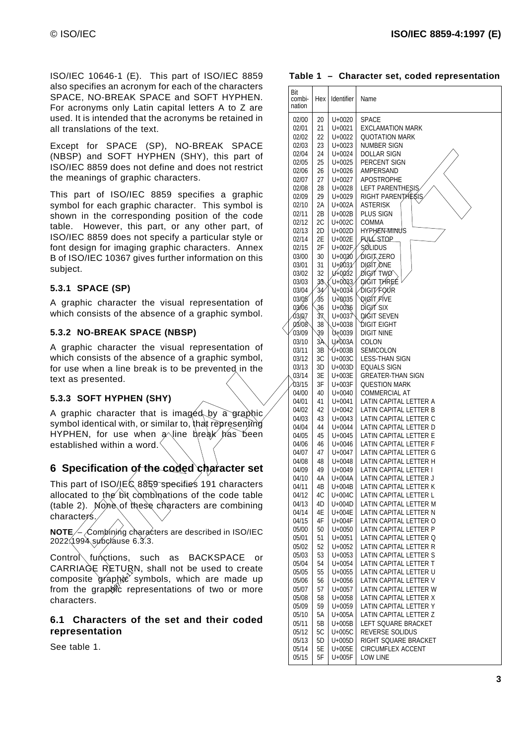ISO/IEC 10646-1 (E). This part of ISO/IEC 8859 also specifies an acronym for each of the characters SPACE, NO-BREAK SPACE and SOFT HYPHEN. For acronyms only Latin capital letters A to Z are used. It is intended that the acronyms be retained in all translations of the text.

Except for SPACE (SP), NO-BREAK SPACE (NBSP) and SOFT HYPHEN (SHY), this part of ISO/IEC 8859 does not define and does not restrict the meanings of graphic characters.

This part of ISO/IEC 8859 specifies a graphic symbol for each graphic character. This symbol is shown in the corresponding position of the code table. However, this part, or any other part, of ISO/IEC 8859 does not specify a particular style or font design for imaging graphic characters. Annex B of ISO/IEC 10367 gives further information on this subject.

#### **5.3.1 SPACE (SP)**

A graphic character the visual representation of which consists of the absence of a graphic symbol.

#### **5.3.2 NO-BREAK SPACE (NBSP)**

A graphic character the visual representation of which consists of the absence of a graphic symbol, for use when a line break is to be prevented in the text as presented.

#### **5.3.3 SOFT HYPHEN (SHY)**

A graphic character that is imaged by a graphic symbol identical with, or similar to, that representing HYPHEN, for use when a line break has been established within a word.

## **6 Specification of the coded character set**

This part of ISO/IEC 8859 specifies 191 characters allocated to the bit combinations of the code table (table 2). None of these characters are combining characters.

**NOTE**  $\neq$  Combining characters are described in ISO/IEC 2022:1994 subclause 6.3.3.

Control functions, such as BACKSPACE or CARRIAGE RETURN, shall not be used to create composite graphic symbols, which are made up<br>from the graphic representations of two or more from the graphic representations of two or more characters.

#### **6.1 Characters of the set and their coded representation**

See table 1.

| $57120101011121100$ pair of 1007120                                                                    |                |                 |                        |                                                  |
|--------------------------------------------------------------------------------------------------------|----------------|-----------------|------------------------|--------------------------------------------------|
| o specifies an acronym for each of the characters                                                      | Bit            |                 |                        |                                                  |
| ACE, NO-BREAK SPACE and SOFT HYPHEN.                                                                   | combi-         |                 | Hex I Identifier       | Name                                             |
| r acronyms only Latin capital letters A to Z are                                                       | nation         |                 |                        |                                                  |
| ed. It is intended that the acronyms be retained in                                                    | 02/00          | 20              | U+0020                 | <b>SPACE</b>                                     |
| translations of the text.                                                                              | 02/01          | 21              | $U + 0021$             | <b>EXCLAMATION MARK</b>                          |
|                                                                                                        | 02/02          | 22              | U+0022                 | <b>QUOTATION MARK</b>                            |
| cept for SPACE (SP), NO-BREAK SPACE                                                                    | 02/03          | 23              | U+0023                 | NUMBER SIGN                                      |
| BSP) and SOFT HYPHEN (SHY), this part of                                                               | 02/04          | 24              | U+0024                 | <b>DOLLAR SIGN</b>                               |
|                                                                                                        | 02/05          | 25              | U+0025                 | PERCENT SIGN                                     |
| O/IEC 8859 does not define and does not restrict                                                       | 02/06          | 26              | U+0026                 | AMPERSAND                                        |
| meanings of graphic characters.                                                                        | 02/07          | 27              | U+0027                 | <b>APOSTROPHE</b>                                |
|                                                                                                        | 02/08          | 28              | U+0028                 | LEFT PARENTHESIS                                 |
| is part of ISO/IEC 8859 specifies a graphic                                                            | 02/09          | 29              | U+0029                 | RIGHT PARENTHESIS                                |
| mbol for each graphic character. This symbol is                                                        | 02/10          | 2A              | U+002A                 | <b>ASTERISK</b>                                  |
| own in the corresponding position of the code                                                          | 02/11          | 2B              | U+002B                 | PLUS SIGN\                                       |
| ble. However, this part, or any other part, of                                                         | 02/12          | 2C              | U+002C                 | <b>COMMA</b>                                     |
|                                                                                                        | 02/13          | 2D              | U+002D                 | <b>HYPHEN MINUS</b>                              |
| O/IEC 8859 does not specify a particular style or                                                      | 02/14          | 2E              | U+002E                 | <b>FULL STOP</b>                                 |
| it design for imaging graphic characters. Annex                                                        | 02/15          | 2F              | U+002F                 | SOLIDUS                                          |
| of ISO/IEC 10367 gives further information on this                                                     | 03/00          | 30              | U+0030                 | <b>DIGIT ZERO</b>                                |
| bject.                                                                                                 | 03/01          | 31              | U40031                 | <b>DIGIT ONE</b>                                 |
|                                                                                                        | 03/02          | 32/             | U≁0032                 | <b>DIGIT TWO</b><br><b>DIGIT THREE</b>           |
| 3.1 SPACE (SP)                                                                                         | 03/03          | 3\$             | $U + 0033$             | $\hat{}$ digit føur $\hat{}$                     |
|                                                                                                        | 03/04/         | 34              | J+0034 ⁄<br>$U + 0035$ |                                                  |
| graphic character the visual representation of                                                         | 03/05<br>03/06 | 35<br>36        | $U+0036$               | <b>QIGIT FIVE</b><br><b>DIGITSIX</b>             |
| ich consists of the absence of a graphic symbol.                                                       | Q3/07          | 37              |                        | U+0037 DIGIT SEVEN                               |
|                                                                                                        | 03/08          | 38              | U+0038                 | <b>DIGIT EIGHT</b>                               |
| 3.2 NO-BREAK SPACE (NBSP)                                                                              | 03/09          | 39 <sup>°</sup> | $U+0039$               | <b>DIGIT NINE</b>                                |
|                                                                                                        | 03/10          | AS'             | <b>U</b> +003A         | COLON                                            |
| graphic character the visual representation of                                                         | 03/11          | 3B              | $\mathcal{Y}$ +003B    | SEMICOLON                                        |
| ich consists of the absence of a graphic symbol,                                                       | 03/12          | $3\mathrm{C}$   | U+003C                 | <b>LESS-THAN SIGN</b>                            |
| use when a line break is to be prevented in the                                                        | 03/13          | 3D              | U+003D                 | <b>EQUALS SIGN</b>                               |
| t as presented.                                                                                        | 03/14          | 3E              | U+003E                 | <b>GREATER-THAN SIGN</b>                         |
|                                                                                                        | 03/15          | $3\mathsf{F}$   | U+003F                 | <b>QUESTION MARK</b>                             |
|                                                                                                        | $\sqrt{04/00}$ | 40              | U+0040                 | COMMERCIAL AT                                    |
| <b>3.3 SOFT HYPHEN (SHY)</b>                                                                           | 04/01          | 41              | U+0041                 | LATIN CAPITAL LETTER A                           |
| graphic character that is imaged by a graphic                                                          | 04/02          | 42              | U+0042                 | LATIN CAPITAL LETTER B                           |
| mbol identical with, or similar to, that representing                                                  | 04/03          | 43              | U+0043                 | LATIN CAPITAL LETTER C                           |
|                                                                                                        | 04/04          | 44              | U+0044                 | LATIN CAPITAL LETTER D                           |
| PHEN, for use when a line\break has been                                                               | 04/05          | 45              | U+0045                 | LATIN CAPITAL LETTER E                           |
| tablished within a word $\hat{\;\;}$                                                                   | 04/06          | 46              | U+0046                 | LATIN CAPITAL LETTER F                           |
|                                                                                                        | 04/07          | 47              | U+0047                 | LATIN CAPITAL LETTER G                           |
| Specification of the coded character set                                                               | 04/08<br>04/09 | 48<br>49        | $U + 0048$<br>U+0049   | LATIN CAPITAL LETTER H<br>LATIN CAPITAL LETTER I |
|                                                                                                        | 04/10          | 4A              | U+004A                 | LATIN CAPITAL LETTER J                           |
| is part of ISO/ÍEC 8859 specifies 191 characters                                                       | 04/11          | 4B              | $U+004B$               | LATIN CAPITAL LETTER K                           |
| ocated to the bit combinations of the code table                                                       | 04/12          | 4C              |                        | U+004C   LATIN CAPITAL LETTER L                  |
| ble 2). None of these characters are combining                                                         | 04/13          | 4D              | U+004D                 | LATIN CAPITAL LETTER M                           |
|                                                                                                        | 04/14          | 4E              | U+004E                 | LATIN CAPITAL LETTER N                           |
| aracters.                                                                                              | 04/15          | 4F              | U+004F                 | LATIN CAPITAL LETTER O                           |
| $\partial \mathbf{T} \mathbf{\mathcal{E}} \neq \mathsf{Combining}$ characters are described in ISO/IEC | 05/00          | 50              | U+0050                 | LATIN CAPITAL LETTER P                           |
| 22:1994 súbclause 6.3.3.                                                                               | 05/01          | 51              | $U + 0051$             | LATIN CAPITAL LETTER Q                           |
|                                                                                                        | 05/02          | 52              | U+0052                 | LATIN CAPITAL LETTER R                           |
| ntro Kunctions, such as BACKSPACE or                                                                   | 05/03          | 53              | $U + 0053$             | LATIN CAPITAL LETTER S                           |
| RRIAGE RETURN, shall not be used to create                                                             | 05/04          | 54              | U+0054                 | LATIN CAPITAL LETTER T                           |
|                                                                                                        | 05/05          | 55              | $U+0055$               | LATIN CAPITAL LETTER U                           |
| mposite graphic symbols, which are made up                                                             | 05/06          | 56              | U+0056                 | LATIN CAPITAL LETTER V                           |
| m the grapore representations of two or more                                                           | 05/07          | 57              | U+0057                 | LATIN CAPITAL LETTER W                           |
| aracters.                                                                                              | 05/08          | 58              | U+0058                 | LATIN CAPITAL LETTER X                           |
|                                                                                                        | 05/09          | 59              | U+0059                 | LATIN CAPITAL LETTER Y                           |
| 1 Characters of the set and their coded                                                                | 05/10          | 5A              | U+005A                 | LATIN CAPITAL LETTER Z                           |
| presentation                                                                                           | 05/11<br>05/12 | 5B<br>5C        | U+005B<br>U+005C       | LEFT SQUARE BRACKET<br>REVERSE SOLIDUS           |
|                                                                                                        | 05/13          | 5D              | U+005D                 | RIGHT SQUARE BRACKET                             |
| e table 1.                                                                                             | 05/14          | 5E              | U+005E                 | CIRCUMFLEX ACCENT                                |
|                                                                                                        | 05/15          | 5F              | U+005F                 | <b>LOW LINE</b>                                  |
|                                                                                                        |                |                 |                        |                                                  |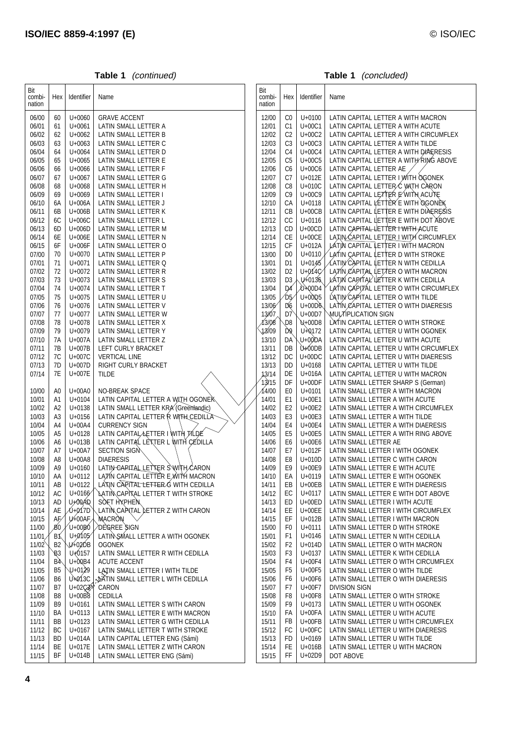|  | Table 1 | (continued) |
|--|---------|-------------|
|--|---------|-------------|

**Table 1** (concluded)

| Bit<br>combi-<br>nation | Hex            | Identifier               | Name                                                                   | Bit<br>combi-<br>nation | Hex                  | Identifier               | Name                                                                        |
|-------------------------|----------------|--------------------------|------------------------------------------------------------------------|-------------------------|----------------------|--------------------------|-----------------------------------------------------------------------------|
| 06/00                   | 60             | $U + 0060$               | <b>GRAVE ACCENT</b>                                                    | 12/00                   | C <sub>0</sub>       | $U + 0100$               | LATIN CAPITAL LETTER A WITH MACRON                                          |
| 06/01                   | 61             | $U + 0061$               | LATIN SMALL LETTER A                                                   | 12/01                   | C <sub>1</sub>       | U+00C1                   | LATIN CAPITAL LETTER A WITH ACUTE                                           |
| 06/02                   | 62             | U+0062                   | LATIN SMALL LETTER B                                                   | 12/02                   | C <sub>2</sub>       | U+00C2                   | LATIN CAPITAL LETTER A WITH CIRCUMFLEX                                      |
| 06/03                   | 63             | $U + 0063$               | LATIN SMALL LETTER C                                                   | 12/03                   | C <sub>3</sub>       | U+00C3                   | LATIN CAPITAL LETTER A WITH TILDE                                           |
| 06/04                   | 64             | U+0064                   | LATIN SMALL LETTER D                                                   | 12/04                   | C4                   | U+00C4                   | LATIN CAPITAL LETTER A WITH DIAERESIS                                       |
| 06/05                   | 65             | $U + 0065$               | LATIN SMALL LETTER E                                                   | 12/05                   | C <sub>5</sub>       | U+00C5                   | LATIN CAPITAL LETTER A WITH RING ABOVE                                      |
| 06/06                   | 66             | $U + 0066$               | LATIN SMALL LETTER F                                                   | 12/06                   | C <sub>6</sub>       | U+00C6                   | LATIN CAPITAL LETTER AE                                                     |
| 06/07                   | 67             | $U + 0067$               | LATIN SMALL LETTER G                                                   | 12/07                   | C7<br>C <sub>8</sub> | U+012E<br>U+010C         | LATIN CAPITAL LETTER YWITH OGONEK                                           |
| 06/08<br>06/09          | 68             | $U + 0068$<br>U+0069     | LATIN SMALL LETTER H<br>LATIN SMALL LETTER I                           | 12/08<br>12/09          | C <sub>9</sub>       | U+00C9                   | LATIN CAPITAL LETTER & WITH CARON<br>LATIN CAPITAL LETTER E WITH ACUTE      |
| 06/10                   | 69<br>6A       | U+006A                   | LATIN SMALL LETTER J                                                   | 12/10                   | CA                   | $U + 0118$               | LATIN CAPITAL LETTER E WITH OGONEK                                          |
| 06/11                   | 6B             | U+006B                   | LATIN SMALL LETTER K                                                   | 12/11                   | CB                   | $U+00CB$                 | LATIN CAPITAL LETTER E WITH DIAERESIS                                       |
| 06/12                   | 6C             | U+006C                   | LATIN SMALL LETTER L                                                   | 12/12                   | CC                   | $U + 0116$               | LATIN CAPITAL LETTER E WITH DOT ABOVE                                       |
| 06/13                   | 6D             | U+006D                   | LATIN SMALL LETTER M                                                   | 12/13                   | CD                   | $U+00CD$                 | LATIN CAPITAL LETTER I WITH ACUTE                                           |
| 06/14                   | 6E             | U+006E                   | LATIN SMALL LETTER N                                                   | 12/14                   | СE                   | $U+00CE$                 | LAZIN CAPITAL LETTER TWITH CIRCUMFLEX                                       |
| 06/15                   | 6F             | U+006F                   | LATIN SMALL LETTER O                                                   | 12/15                   | CF                   | U+012A                   | <b>AATIN CAPITAL LETTER LWITH MACRON</b>                                    |
| 07/00                   | 70             | U+0070                   | LATIN SMALL LETTER P                                                   | 13/00                   | D <sub>0</sub>       | $U+0110$                 | LATIN CAPITAL LETTER D WITH STROKE                                          |
| 07/01                   | 71             | $U + 0071$               | LATIN SMALL LETTER Q                                                   | 13/01                   | D <sub>1</sub>       | $U + 0145$               | LATIN CAPITAL LETTER N WITH CEDILLA                                         |
| 07/02                   | 72             | U+0072                   | LATIN SMALL LETTER R                                                   | 13/02                   | D <sub>2</sub>       | U <sub>4014</sub> C      | LATIN CAPITAL LETTER O WITH MACRON                                          |
| 07/03                   | 73             | U+0073                   | LATIN SMALL LETTER S                                                   | 13/03                   | D <sub>3</sub>       | U+0136                   | LATIN CAPITAL LETTER K WITH CEDILLA                                         |
| 07/04                   | 74             | $U + 0074$               | LATIN SMALL LETTER T                                                   | 13/04                   | D <sub>4</sub>       | `N+00D4`                 | LATIN CAPITAL LETTER O WITH CIRCUMFLEX                                      |
| 07/05                   | 75             | $U + 0075$               | LATIN SMALL LETTER U                                                   | 13/05                   | DS                   | U+00D5                   | LATIN CAPITAL LETTER O WITH TILDE                                           |
| 07/06                   | 76             | $U + 0076$               | LATIN SMALL LETTER V                                                   | 13/06                   | D6                   | $U+00D6$                 | LATIN CAPITAL LETTER O WITH DIAERESIS                                       |
| 07/07                   | 77             | U+0077                   | LATIN SMALL LETTER W                                                   | ∕13/07                  | $\mathcal{Q}$ 7      | U+00D7                   | પ્MULȚ∕IṔLICATION SIGN                                                      |
| 07/08                   | 78             | $U + 0078$               | LATIN SMALL LETTER X                                                   | <i>13/08</i>            | D <sub>8</sub>       | $U+00D8$                 | LATIN CAPITAL LETTER O WITH STROKE                                          |
| 07/09                   | 79<br>7A       | U+0079                   | LATIN SMALL LETTER Y                                                   | 13/09                   | D9                   | U+0172                   | LATIN CAPITAL LETTER U WITH OGONEK                                          |
| 07/10<br>07/11          | 7B             | U+007A<br>U+007B         | LATIN SMALL LETTER Z<br>LEFT CURLY BRACKET                             | 13/10<br>13/11          | DÀ<br>DB             | U+00DA<br><b>\U+00DB</b> | LATIN CAPITAL LETTER U WITH ACUTE<br>LATIN CAPITAL LETTER U WITH CIRCUMFLEX |
| 07/12                   | 7C             | U+007C                   | <b>VERTICAL LINE</b>                                                   | 13/12                   | DC                   | $U+00DC$                 | LATIN CAPITAL LETTER U WITH DIAERESIS                                       |
| 07/13                   | 7D             | U+007D                   | RIGHT CURLY BRACKET                                                    | 13/13                   | <b>DD</b>            | $U + 0168$               | LATIN CAPITAL LETTER U WITH TILDE                                           |
| 07/14                   | 7E             | U+007E                   | <b>TILDE</b>                                                           | 13/14                   | DE                   | U+016A                   | LATIN CAPITAL LETTER U WITH MACRON                                          |
|                         |                |                          |                                                                        | 1,3/15                  | DF                   | $U+00DF$                 | LATIN SMALL LETTER SHARP S (German)                                         |
| 10/00                   | A0             | $U+00A0$                 | NO-BREAK SPACE                                                         | 14700                   | E <sub>0</sub>       | $U + 0101$               | LATIN SMALL LETTER A WITH MACRON                                            |
| 10/01                   | A1             | U+0104                   | LATIN CAPITAL LETTER A WITH OGONEK                                     | 14/01                   | E <sub>1</sub>       | U+00E1                   | LATIN SMALL LETTER A WITH ACUTE                                             |
| 10/02                   | A2             | $U + 0138$               | LATIN SMALL LETTER KRA (Greenlandic)                                   | 14/02                   | E <sub>2</sub>       | U+00E2                   | LATIN SMALL LETTER A WITH CIRCUMFLEX                                        |
| 10/03                   | A3             | $U + 0156$               | LATIN CAPITAL LETTER R WITH CEDILLA                                    | 14/03                   | E <sub>3</sub>       | U+00E3                   | LATIN SMALL LETTER A WITH TILDE                                             |
| 10/04                   | A4             | U+00A4                   | <b>CURRENCY SIGN</b>                                                   | 14/04                   | E4                   | U+00E4                   | LATIN SMALL LETTER A WITH DIAERESIS                                         |
| 10/05                   | A5             | $U + 0128$               | LATIN CAPITAL LETTER I WITH TILDE                                      | 14/05                   | E <sub>5</sub>       | U+00E5                   | LATIN SMALL LETTER A WITH RING ABOVE                                        |
| 10/06                   | A6             | $U+013B$                 | LATIN CAPITAL LETTER \ WITH CEDILLA                                    | 14/06                   | E <sub>6</sub>       | U+00E6                   | LATIN SMALL LETTER AE                                                       |
| 10/07                   | A7             | U+00A7                   | SECTION SIGN                                                           | 14/07                   | E7                   | U+012F                   | LATIN SMALL LETTER I WITH OGONEK                                            |
| 10/08                   | A8             | $U+00A8$                 | <b>DIAERESIS</b>                                                       | 14/08                   | E8                   | U+010D                   | LATIN SMALL LETTER C WITH CARON                                             |
| 10/09                   | A9             | U+0160                   | LATIN CAPITAL LETTER SWITH CARON<br>LÁTIN CAPITAL LETTER E WITH MACRON | 14/09                   | E9                   | U+00E9                   | LATIN SMALL LETTER E WITH ACUTE                                             |
| 10/10                   | AA<br>AB       | U+0112<br>U+0122         | `LATIN`CAPITAL LETTÈR G.ÀVITH CEDILLA                                  | 14/10<br>14/11          | EA<br>EB             | $U + 0119$<br>$U+00EB$   | LATIN SMALL LETTER E WITH OGONEK                                            |
| 10/11<br>10/12          | AC             | $U + 0.166$              | LATIN CARITAL LETTER TWITH STROKE                                      | 14/12                   | EC                   | $U + 0117$               | LATIN SMALL LETTER E WITH DIAERESIS<br>LATIN SMALL LETTER E WITH DOT ABOVE  |
| 10/13                   | AD             | U+0QAD                   | <b>SOFT HYPHEN</b>                                                     | 14/13                   | ED                   | $U+00ED$                 | LATIN SMALL LETTER I WITH ACUTE                                             |
| 10/14                   | AE             | <b>DH017D</b>            | LATIN CARITAL LETTER Z WITH CARON                                      | 14/14                   | EE                   | $U+00EE$                 | LATIN SMALL LETTER I WITH CIRCUMFLEX                                        |
| 10/15                   | AÉ             | ∕U+00AF`                 | MACRON                                                                 | 14/15                   | EF                   | U+012B                   | LATIN SMALL LETTER I WITH MACRON                                            |
| 11/00                   | ΒŐ             | $U+00B0$                 | DEGREE SIGN                                                            | 15/00                   | F <sub>0</sub>       | $U + 0111$               | LATIN SMALL LETTER D WITH STROKE                                            |
| 11/01                   | ՜Β1            | $U+0105$                 | LATIN SMALL LETTER A WITH OGONEK                                       | 15/01                   | F1                   | $U + 0146$               | LATIN SMALL LETTER N WITH CEDILLA                                           |
| 11/02                   | B <sup>2</sup> | ∕Ú+02́DB                 | <b>OGONEK</b>                                                          | 15/02                   | F <sub>2</sub>       | U+014D                   | LATIN SMALL LETTER O WITH MACRON                                            |
| 11/03                   | B <sub>3</sub> | Q+0157                   | LATIN SMALL LETTER R WITH CEDILLA                                      | 15/03                   | F <sub>3</sub>       | $U + 0137$               | LATIN SMALL LETTER K WITH CEDILLA                                           |
| 11/04                   | ₿4             | $U + OQB4$               | <b>ACUTE ACCENT</b>                                                    | 15/04                   | F <sub>4</sub>       | U+00F4                   | LATIN SMALL LETTER O WITH CIRCUMFLEX                                        |
| 11/05                   | B <sub>5</sub> | U+0129                   | LATIN SMALL LETTER I WITH TILDE                                        | 15/05                   | F <sub>5</sub>       | U+00F5                   | LATIN SMALL LETTER O WITH TILDE                                             |
| 11/06                   | B <sub>6</sub> | $U + 013C$               | LATIN SMALL LETTER L WITH CEDILLA                                      | 15/06                   | F <sub>6</sub>       | U+00F6                   | LATIN SMALL LETTER O WITH DIAERESIS                                         |
| 11/07                   | B7             | U+02CZ <sup>6</sup>      | CARON                                                                  | 15/07                   | F7                   | U+00F7                   | <b>DIVISION SIGN</b>                                                        |
| 11/08                   | B <sub>8</sub> | $U+00B8$                 | <b>CEDILLA</b>                                                         | 15/08                   | F8                   | U+00F8                   | LATIN SMALL LETTER O WITH STROKE                                            |
| 11/09                   | B <sub>9</sub> | U+0161                   | LATIN SMALL LETTER S WITH CARON                                        | 15/09                   | F <sub>9</sub>       | $U + 0173$               | LATIN SMALL LETTER U WITH OGONEK                                            |
| 11/10<br>11/11          | BA<br>BB       | $U + 0113$<br>$U + 0123$ | LATIN SMALL LETTER E WITH MACRON<br>LATIN SMALL LETTER G WITH CEDILLA  | 15/10<br>15/11          | FA<br><b>FB</b>      | U+00FA<br>$U+00FB$       | LATIN SMALL LETTER U WITH ACUTE<br>LATIN SMALL LETTER U WITH CIRCUMFLEX     |
| 11/12                   | ВC             | U+0167                   | LATIN SMALL LETTER T WITH STROKE                                       | 15/12                   | FC                   | $U+00FC$                 | LATIN SMALL LETTER U WITH DIAERESIS                                         |
| 11/13                   | BD             | U+014A                   | LATIN CAPITAL LETTER ENG (Sámi)                                        | 15/13                   | FD                   | $U + 0169$               | LATIN SMALL LETTER U WITH TILDE                                             |
| 11/14                   | BE             | U+017E                   | LATIN SMALL LETTER Z WITH CARON                                        | 15/14                   | <b>FE</b>            | U+016B                   | LATIN SMALL LETTER U WITH MACRON                                            |
| 11/15                   | BF.            | U+014B                   | LATIN SMALL LETTER ENG (Sámi)                                          | 15/15                   | FF                   | $U+02D9$                 | DOT ABOVE                                                                   |
|                         |                |                          |                                                                        |                         |                      |                          |                                                                             |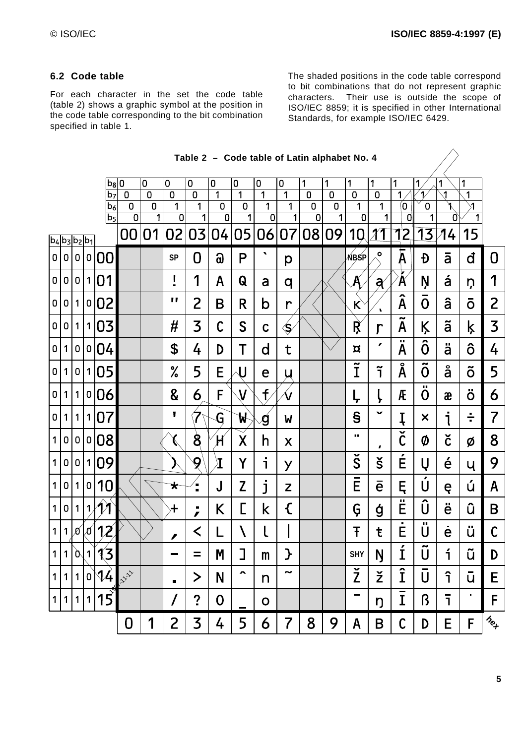#### **6.2 Code table**

For each character in the set the code table (table 2) shows a graphic symbol at the position in the code table corresponding to the bit combination specified in table 1.

The shaded positions in the code table correspond to bit combinations that do not represent graphic characters. Their use is outside the scope of ISO/IEC 8859; it is specified in other International Standards, for example ISO/IEC 6429.

|                     |                      |                |              |                           |                |                |                               |                                |                         |                       | Table 2 – Code table of Latin alphabet No. 4 |                            |                |                |                               |                      |                                   |                                     |                |                            |                                              |
|---------------------|----------------------|----------------|--------------|---------------------------|----------------|----------------|-------------------------------|--------------------------------|-------------------------|-----------------------|----------------------------------------------|----------------------------|----------------|----------------|-------------------------------|----------------------|-----------------------------------|-------------------------------------|----------------|----------------------------|----------------------------------------------|
|                     |                      |                |              | $b_8$ $0$                 |                | $\overline{0}$ | 0                             | $\overline{0}$                 | 0                       | 0                     | 0                                            | 0                          | 1              | 1              | 1                             | 1                    | 1                                 | Ιî                                  | ř              | 1                          |                                              |
|                     |                      |                |              | b <sub>7</sub>            | $\overline{0}$ | $\overline{0}$ | $\overline{0}$                | $\overline{0}$                 | $\mathbf{1}$            | 1                     | $\overline{1}$                               | 1                          | $\overline{0}$ | $\mathbf 0$    | $\overline{0}$                | $\overline{0}$       | 1                                 |                                     | $\mathbf{1}$   | 1                          |                                              |
|                     |                      |                |              | b <sub>6</sub>            | $\overline{0}$ | $\overline{0}$ | $\overline{1}$                | $\overline{1}$                 | $\pmb{0}$               | $\overline{0}$        | 1                                            | $\overline{1}$             | $\overline{0}$ | $\overline{0}$ | 1                             | 1                    | Ø                                 | 0                                   | $\mathbf 1$    | $\overline{1}$             |                                              |
|                     |                      |                |              | b <sub>5</sub>            | $\overline{0}$ | $\overline{1}$ | $\overline{0}$                | 1                              | $\overline{0}$          | 1                     | $\overline{0}$                               | 1                          | $\overline{0}$ | 1              | 0                             | 1                    | $\overline{\mathfrak{g}}$         | 1                                   | Ø              | $\overline{1}$             |                                              |
| $ b_4 b_3 b_2 b_1 $ |                      |                |              |                           | 00             | 01             | 02                            | 03                             | 04                      | 05                    | 06                                           | 07                         |                | 08 09          | 10                            |                      | 12                                | 13                                  | 4              | 15                         |                                              |
| $\overline{0}$      | 0                    | 0              |              | 0 00                      |                |                | <b>SP</b>                     | 0                              | $\Omega$                | P                     | $\pmb{\cdot}$                                | p                          |                |                | <b>NBSP</b>                   | $\bullet$            | $\bar{\mathsf{A}}$                | Đ                                   | $\overline{a}$ | đ                          | 0                                            |
| $\overline{0}$      |                      |                |              | 0 0 1 01                  |                |                | I<br>$\blacksquare$           | 1                              | A                       | Q                     | a                                            | q                          |                |                | $\cancel{\mathsf{A}}$         | a                    | $\breve{\textbf{A}}$              | Ņ                                   | á              | ņ                          | 1                                            |
|                     | 0 0 1                |                |              | 0 02                      |                |                | ,,                            | $\overline{2}$                 | B                       | R                     | b                                            | $\mathsf{r}$               |                |                | $\mathsf{K}$                  | ٠,                   | $\overline{\hat{A}}$              | $\overline{O}$                      | â              | $\overline{o}$             | 2                                            |
| $\overline{0}$      |                      |                |              | 0 1 1 03                  |                |                | #                             | 3                              | $\mathsf C$             | S                     | $\mathsf C$                                  | ⁄Ś                         |                |                | Ŗ                             | $\mathsf{r}$         | $\tilde{\phantom{a}}$<br>A        | Ķ                                   | ã              | ķ                          | 3                                            |
| $\overline{0}$      | 1 <sup>1</sup>       |                |              | 0 0 04                    |                |                | \$                            | 4                              | D                       | T                     | $\mathsf{d}$                                 | t                          |                |                | $\alpha$                      | $\pmb{r}$            | ш<br>A                            | ô                                   | ä              | ô                          | 4                                            |
|                     | 0 1                  |                |              | 0 1 05                    |                |                | ℅                             | 5                              | $E_{\diagup}$           | U                     | e                                            | U                          |                |                | $\overline{\tilde{\text{I}}}$ | $\tilde{1}$          | Å                                 | $\tilde{\phantom{a}}$<br>0          | å              | õ                          | 5                                            |
|                     | 0 1                  | 1 <sup>1</sup> |              | 0 06                      |                |                | 8                             | 6                              | F                       | V                     | $\mathsf{f}$                                 | $\mathcal{\breve{\bm{N}}}$ |                |                | Ļ                             | Ļ                    | Æ                                 | $\mathbf{H}$<br>0                   | æ              | ö                          | 6                                            |
| $\overline{0}$      | 1 <sup>1</sup>       | 1 <sup>1</sup> |              | 1 07                      |                |                | П                             | $\overline{\mathbf{X}}$        | G                       | W                     | $\boldsymbol{\mathcal{G}}$                   | W                          |                |                | $\mathbf{s}$                  | $\checkmark$         | Į                                 | $\boldsymbol{\mathsf{x}}$           | i              | ÷                          | $\overline{7}$                               |
| 1 <sup>1</sup>      | 0                    | 0              |              | 0 08                      |                |                | (                             | $\bm{\mathcal{S}}$             | H                       | $\cancel{\mathsf{X}}$ | h                                            | X                          |                |                | ш                             | $\pmb{J}$            | $\overline{\check{\mathfrak{c}}}$ | Ø                                   | č              | Ø                          | 8                                            |
| 1 <sup>1</sup>      | $\overline{0}$       |                |              | 0 1 09                    |                |                | )                             | 9                              | $\bar{\mathbf{I}}$      | Y                     | i                                            | y                          |                |                | $\overline{\widetilde{S}}$    | $\check{\mathsf{s}}$ | $\acute{E}$                       | Ų                                   | é              | Ų                          | 9                                            |
| 1 <sup>1</sup>      | 0                    | 1 <sup>1</sup> | $\mathbf 0$  | 10 <sub>l</sub>           |                |                | $\overrightarrow{\mathbf{x}}$ | $\overrightarrow{z}$           | J                       | Z                     | j                                            | Z                          |                |                | $\bar{E}$                     | ē                    | Ę                                 | U                                   | ę              | ú                          | A                                            |
| 1 <sup>1</sup>      | $\overline{0}$       |                | $1\vert \nu$ | $\mathcal{A} \mathcal{A}$ |                |                | $\ddagger$                    | $\blacksquare$<br>$\mathbf{r}$ | K                       | L                     | $\mathsf k$                                  | €                          |                |                | Ģ                             | ģ                    | ш<br>E                            | Û                                   | ë              | û                          | B                                            |
| 1 <sup>1</sup>      | $\mathcal V$         |                | ′0∕  0       | 12                        |                |                | ∕                             | $\prec$                        | L                       |                       |                                              |                            |                |                | Ŧ                             | ŧ                    | E                                 | $\mathbf{H}$<br>U                   | ė              | ü                          | $\mathsf C$                                  |
| 1                   | $\lvert \eta \rvert$ |                | 1            | $\sqrt{3}$                |                |                |                               |                                | $\mathsf{M}\phantom{M}$ | J                     | m                                            | }                          |                |                | <b>SHY</b>                    | Ŋ                    | $\overline{\mathbf{r}}$<br>T      | $\overline{\widetilde{\mathsf{U}}}$ | ì              | $\tilde{\phantom{a}}$<br>u | D                                            |
| 1                   | 1 <sup>1</sup>       | 1              |              | $0\sqrt{4}$               | <b>ANY</b>     |                | $\blacksquare$                | $\bm >$                        | N                       | $\hat{\phantom{a}}$   | n                                            | $\tilde{\phantom{a}}$      |                |                | $\check{\mathsf{Z}}$          | ž                    | Î                                 | Ū                                   | î              | ū                          | Е                                            |
| 1 <sup>1</sup>      | 1                    | 1              | $\mathbf{1}$ | $\overline{15}$           |                |                | $\prime$                      | $\mathbf{c}$                   | 0                       |                       | $\mathbf O$                                  |                            |                |                | -                             | ŋ                    | Ī                                 | ß                                   | $\overline{1}$ | ×,                         | F                                            |
|                     |                      |                |              |                           | 0              | 1              | $\overline{2}$                | 3                              | 4                       | 5                     | 6                                            | $\overline{\mathbf{r}}$    | 8              | 9              | A                             | B                    | $\mathsf C$                       | D                                   | E              | F                          | $\gamma_{\!\scriptscriptstyle (\!\chi\!)_+}$ |

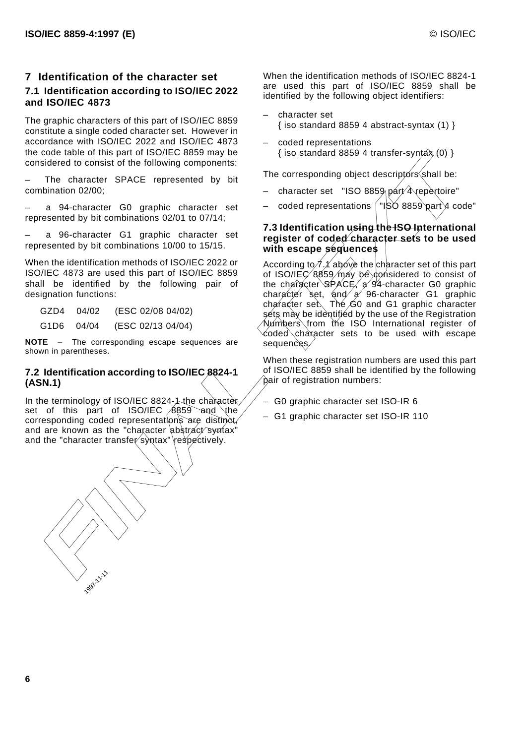#### **7 Identification of the character set 7.1 Identification according to ISO/IEC 2022 and ISO/IEC 4873**

The graphic characters of this part of ISO/IEC 8859 constitute a single coded character set. However in accordance with ISO/IEC 2022 and ISO/IEC 4873 the code table of this part of ISO/IEC 8859 may be considered to consist of the following components:

The character SPACE represented by bit combination 02/00;

– a 94-character G0 graphic character set represented by bit combinations 02/01 to 07/14;

– a 96-character G1 graphic character set represented by bit combinations 10/00 to 15/15.

When the identification methods of ISO/IEC 2022 or ISO/IEC 4873 are used this part of ISO/IEC 8859 shall be identified by the following pair of designation functions:

GZD4 04/02 (ESC 02/08 04/02)

G1D6 04/04 (ESC 02/13 04/04)

**NOTE** – The corresponding escape sequences are shown in parentheses.

## **7.2 Identification according to ISO/IEC 8824-1 (ASN.1)**

In the terminology of ISO/IEC 8824-1 the character set of this part of ISO/IEC 8859 and the corresponding coded representations are distinct. and are known as the "character abstract syntax" and the "character transfer syntax" respectively.



When the identification methods of ISO/IEC 8824-1 are used this part of ISO/IEC 8859 shall be identified by the following object identifiers:

- character set { iso standard 8859 4 abstract-syntax (1) }
- coded representations { iso standard 8859 4 transfer-syntax (0) }

The corresponding object descriptors shall be:

- character set "ISO 8859 part 4 repertoire"
- coded representations  $\frac{1}{1}$  ISO 8859 part 4 code"

#### **7.3 Identification using the ISO International register of coded character sets to be used with escape sequences**

According to  $\chi$ 1 above the character set of this part of ISO/IEC  $(8859/\text{m})$ ay be considered to consist of the character SPACE, a 94-character G0 graphic character set, and  $A \rightarrow 96$ -character G1 graphic  $chapactor$  set. The  $G0$  and G1 graphic character sets may be identified by the use of the Registration Numbers from the ISO International register of coded character sets to be used with escape sequences.

When these registration numbers are used this part of ISO/IEC 8859 shall be identified by the following pair of registration numbers:

– G0 graphic character set ISO-IR 6

– G1 graphic character set ISO-IR 110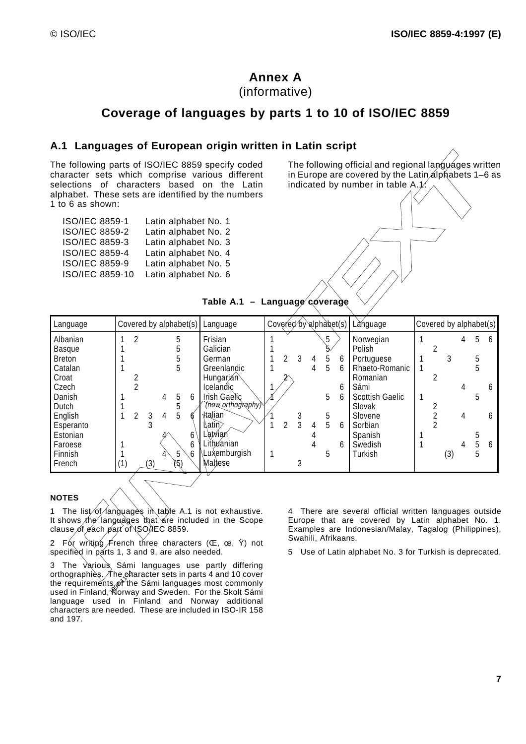# **Annex A**

(informative)

# **Coverage of languages by parts 1 to 10 of ISO/IEC 8859**

## **A.1 Languages of European origin written in Latin script**

The following parts of ISO/IEC 8859 specify coded character sets which comprise various different selections of characters based on the Latin alphabet. These sets are identified by the numbers 1 to 6 as shown:

| ISO/IEC 8859-1  | Latin alphabet No. 1 |
|-----------------|----------------------|
| ISO/IEC 8859-2  | Latin alphabet No. 2 |
| ISO/IEC 8859-3  | Latin alphabet No. 3 |
| ISO/IEC 8859-4  | Latin alphabet No. 4 |
| ISO/IEC 8859-9  | Latin alphabet No. 5 |
| ISO/IEC 8859-10 | Latin alphabet No. 6 |

The following official and regional languages written in Europe are covered by the Latin alphabets 1-6 as indicated by number in table  $A(1)$ :



#### **NOTES**

1 The list of languages in table A.1 is not exhaustive. It shows the languages that are included in the Scope clause of each part of ISO/IEC 8859.

2 For writing French three characters  $(CE, ce, Y)$  not specified in parts 1, 3 and 9, are also needed.

The ch<br>s of th<br>Norw 3 The various Sámi languages use partly differing orthographies.  $\not$ The character sets in parts 4 and 10 cover the requirements of the Sámi languages most commonly used in Finland, Norway and Sweden. For the Skolt Sámi language used in Finland and Norway additional characters are needed. These are included in ISO-IR 158 and 197.

4 There are several official written languages outside Europe that are covered by Latin alphabet No. 1. Examples are Indonesian/Malay, Tagalog (Philippines), Swahili, Afrikaans.

5 Use of Latin alphabet No. 3 for Turkish is deprecated.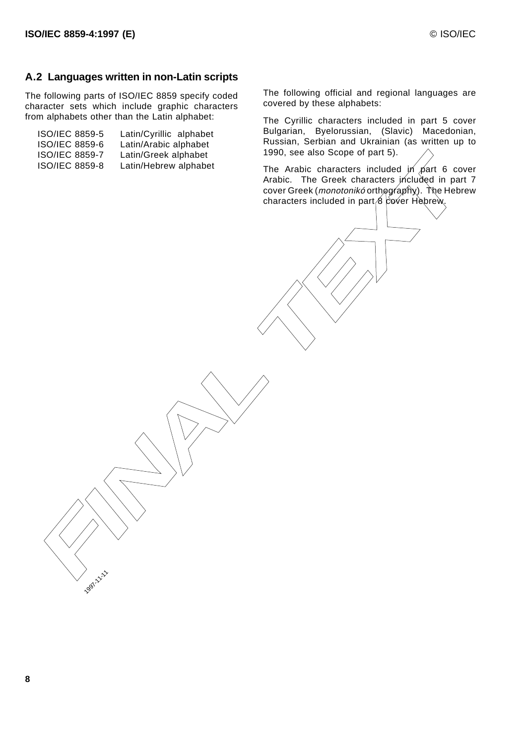## **A.2 Languages written in non-Latin scripts**

The following parts of ISO/IEC 8859 specify coded character sets which include graphic characters from alphabets other than the Latin alphabet:

| Latin/Cyrillic alphabet |
|-------------------------|
| Latin/Arabic alphabet   |
| Latin/Greek alphabet    |
| Latin/Hebrew alphabet   |
|                         |

The following official and regional languages are covered by these alphabets:

The Cyrillic characters included in part 5 cover Bulgarian, Byelorussian, (Slavic) Macedonian, Russian, Serbian and Ukrainian (as written up to 1990, see also Scope of part 5).

The Arabic characters included  $\hat{p}/p$  part 6 cover Arabic. The Greek characters included in part 7 cover Greek (*monotonikó* orthography). The Hebrew Concide assess and Latin Methew alghabet<br>
SCO/IEC 8859-8 Latin/Hebrew alghabet<br>
Arabic Characters included in part 8 cover Greek (monotonix orthography). The Hebre<br>
characters included in part 8 cover Hebrew.<br>
Characters i

**1997-11-11-11**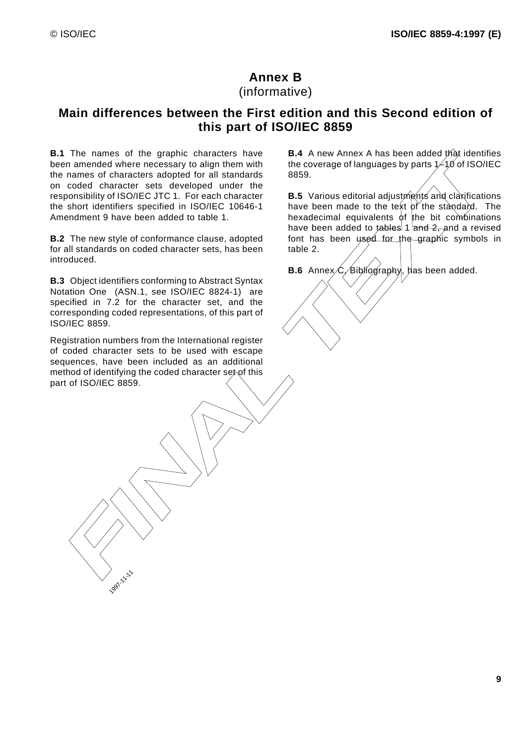# **Annex B**

(informative)

# **Main differences between the First edition and this Second edition of this part of ISO/IEC 8859**

in a memded where energies any lo align them with<br>
the coverage of languages by parts. A for our contractions and<br>
FINAL TEXT is considered under the<br>
conditions about the coverage of languages by parts. A for the standard **B.1** The names of the graphic characters have been amended where necessary to align them with the names of characters adopted for all standards on coded character sets developed under the responsibility of ISO/IEC JTC 1. For each character the short identifiers specified in ISO/IEC 10646-1 Amendment 9 have been added to table 1.

**B.2** The new style of conformance clause, adopted for all standards on coded character sets, has been introduced.

**B.3** Object identifiers conforming to Abstract Syntax Notation One (ASN.1, see ISO/IEC 8824-1) are specified in 7.2 for the character set, and the corresponding coded representations, of this part of ISO/IEC 8859.

Registration numbers from the International register of coded character sets to be used with escape sequences, have been included as an additional method of identifying the coded character set of this part of ISO/IEC 8859.

1997-11-11

**B.4** A new Annex A has been added that identifies the coverage of languages by parts  $\chi$ - $\chi$ 0 of ISO/IEC 8859.

**B.5** Various editorial adjustments and clarifications have been made to the text of the standard. The hexadecimal equivalents of the bit compinations have been added to tables  $1$  and 2, and a revised font has been used for the graphic symbols in table 2.

**B.6** Annex  $\mathcal{C}$ , Bibliography, has been added.